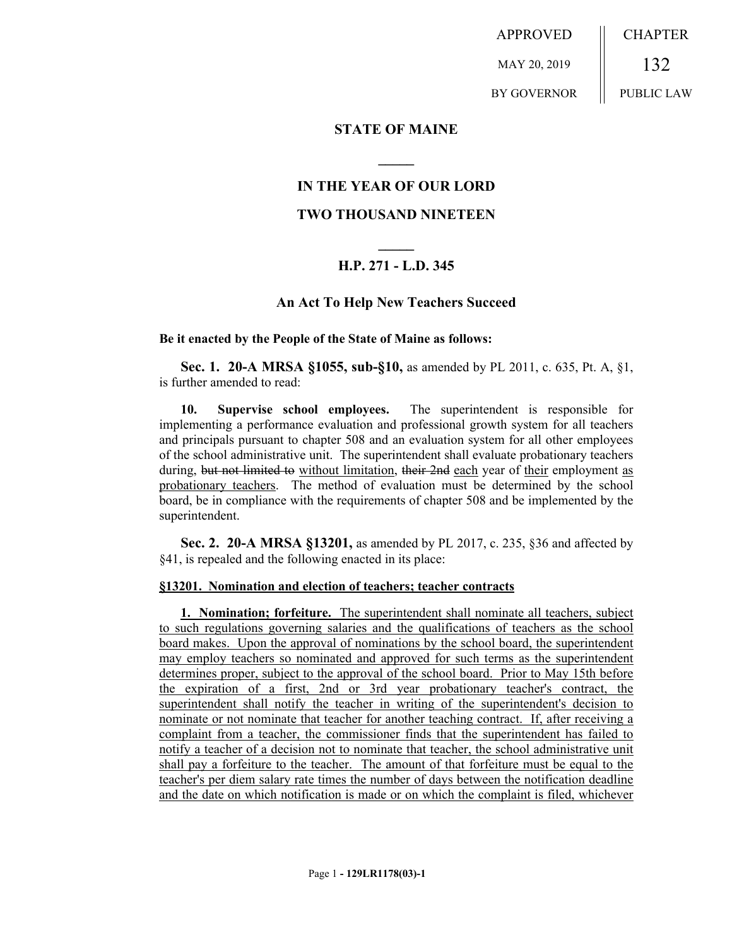APPROVED MAY 20, 2019 BY GOVERNOR **CHAPTER** 132 PUBLIC LAW

## **STATE OF MAINE**

# **IN THE YEAR OF OUR LORD**

**\_\_\_\_\_**

## **TWO THOUSAND NINETEEN**

# **\_\_\_\_\_ H.P. 271 - L.D. 345**

## **An Act To Help New Teachers Succeed**

### **Be it enacted by the People of the State of Maine as follows:**

**Sec. 1. 20-A MRSA §1055, sub-§10,** as amended by PL 2011, c. 635, Pt. A, §1, is further amended to read:

**10. Supervise school employees.** The superintendent is responsible for implementing a performance evaluation and professional growth system for all teachers and principals pursuant to chapter 508 and an evaluation system for all other employees of the school administrative unit. The superintendent shall evaluate probationary teachers during, but not limited to without limitation, their 2nd each year of their employment as probationary teachers. The method of evaluation must be determined by the school board, be in compliance with the requirements of chapter 508 and be implemented by the superintendent.

**Sec. 2. 20-A MRSA §13201,** as amended by PL 2017, c. 235, §36 and affected by §41, is repealed and the following enacted in its place:

### **§13201. Nomination and election of teachers; teacher contracts**

**1. Nomination; forfeiture.** The superintendent shall nominate all teachers, subject to such regulations governing salaries and the qualifications of teachers as the school board makes. Upon the approval of nominations by the school board, the superintendent may employ teachers so nominated and approved for such terms as the superintendent determines proper, subject to the approval of the school board. Prior to May 15th before the expiration of a first, 2nd or 3rd year probationary teacher's contract, the superintendent shall notify the teacher in writing of the superintendent's decision to nominate or not nominate that teacher for another teaching contract. If, after receiving a complaint from a teacher, the commissioner finds that the superintendent has failed to notify a teacher of a decision not to nominate that teacher, the school administrative unit shall pay a forfeiture to the teacher. The amount of that forfeiture must be equal to the teacher's per diem salary rate times the number of days between the notification deadline and the date on which notification is made or on which the complaint is filed, whichever